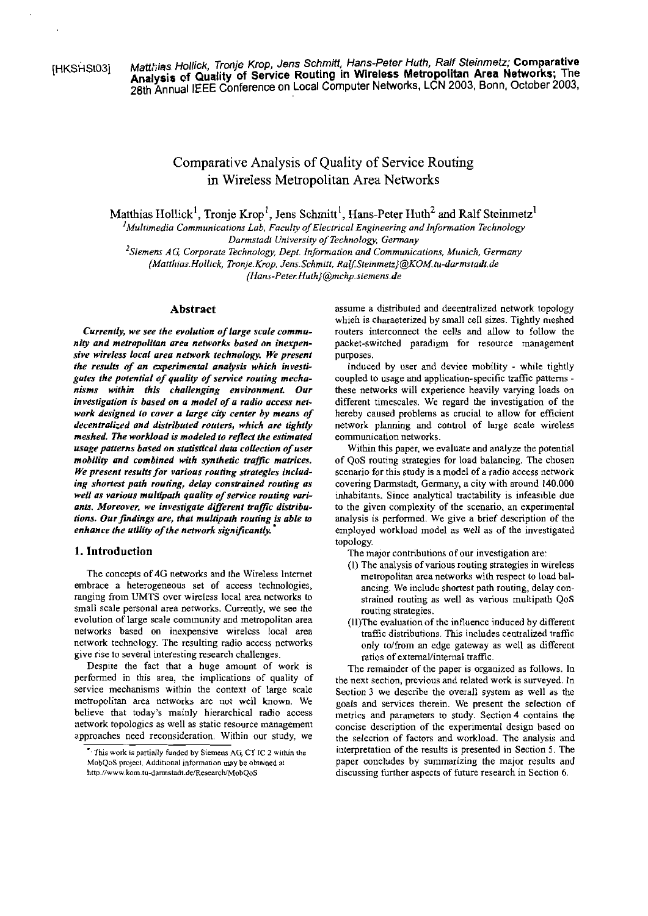Matthias Hollick, Tronje Krop, Jens Schmitt, Hans-Peter Huth, Ralf Steinmetz; Comparative Analysis of Quality of Service Routing in Wireless Metropolitan Area Networks; The 28th Annual IEEE Conference on Local Computer Networks, LCN 2003, Bonn, October 2003,

# Comparative Analysis of Quality of Service Routing in Wireless Metropolitan Area Networks

Matthias Hollick<sup>1</sup>, Tronje Krop<sup>1</sup>, Jens Schmitt<sup>1</sup>, Hans-Peter Huth<sup>2</sup> and Ralf Steinmetz<sup>1</sup>

 $^{l}$ Multimedia Communications Lab, Faculty of Electrical Engineering and Information Technology

Darmstadt University of Technology, Germany

<sup>2</sup>Siemens AG, Corporate Technology, Dept. Information and Communications, Munich, Germany {Matthias.Hollick, Tronje.Krop, Jens.Schmitt, Ralf.Steinmetz}@KOM.tu-darmstadt.de

{Hans-Peter.Huth}@mchp.siemens.de

## Abstract

Currently, we see the evolution of large scale community and metropolitan area networks based on inexpensive wireless local area network technology. We present the results of an experimental analysis which investigates the potential of quality of service routing mechanisms within this challenging environment. Our investigation is based on a model of a radio access network designed to cover a large city center by means of decentralized and distributed routers, which are tightly meshed. The workload is modeled to reflect the estimated usage patterns based on statistical data collection of user mobility and combined with synthetic traffic matrices. We present results for various routing strategies including shortest path routing, delay constrained routing as well as various multipath quality of service routing variants. Moreover, we investigate different traffic distributions. Our findings are, that multipath routing is able to enhance the utility of the network significantly.

## 1. Introduction

The concepts of 4G networks and the Wireless Internet embrace a heterogeneous set of access technologies, ranging from UMTS over wireless local area networks to small scale personal area networks. Currently, we see the evolution of large scale community and metropolitan area networks based on inexpensive wireless local area network technology. The resulting radio access networks give rise to several interesting research challenges.

Despite the fact that a huge amount of work is performed in this area, the implications of quality of service mechanisms within the context of large scale metropolitan area networks are not well known. We believe that today's mainly hierarchical radio access network topologics as well as static resource management approaches need reconsideration. Within our study, we

assume a distributed and decentralized network topology which is characterized by small cell sizes. Tightly meshed routers interconnect the eells and allow to follow the packet-switched paradigm for resource management purposes.

Induced by user and deviee mobility - while tightly coupled to usage and application-specific traffic patterns these networks will experience heavily varying loads on different timescales. We regard the investigation of the hereby caused problems as crucial to allow for efficient network planning and control of large scale wireless eommunication networks.

Within this paper, we evaluate and analyze the potential of QoS routing strategies for load balancing. The chosen scenario for this study is a model of a radio access network covering Darmstadt, Germany, a city with around 140.000 inhabitants. Since analytical tractability is infeasible due to the given complexity of the scenario, an experimental analysis is performed. We give a brief description of the employed workload model as well as of the investigated topology.

The major contributions of our investigation are:

- (1) The analysis of various routing strategies in wireless metropolitan area networks with respect to load balancing. We include shortest path routing, delay constrained routing as well as various multipath OoS routing strategies.
- (II) The evaluation of the influence induced by different traffic distributions. This includes centralized traffic only to/from an edge gateway as well as different ratios of external/internal traffic.

The remainder of the paper is organized as follows. In the next section, previous and related work is surveyed. In Section 3 we describe the overall system as well as the goals and services therein. We present the selection of metrics and parameters to study. Section 4 contains the concise description of the experimental design based on the selection of factors and workload. The analysis and interpretation of the results is presented in Section 5. The paper concludes by summarizing the major results and discussing further aspects of future research in Section 6.

This work is partially funded by Siemens AG, CT IC 2 within the MobOoS project. Additional information may be obtained at http://www.kom.tu-darmstadt.de/Research/MobQoS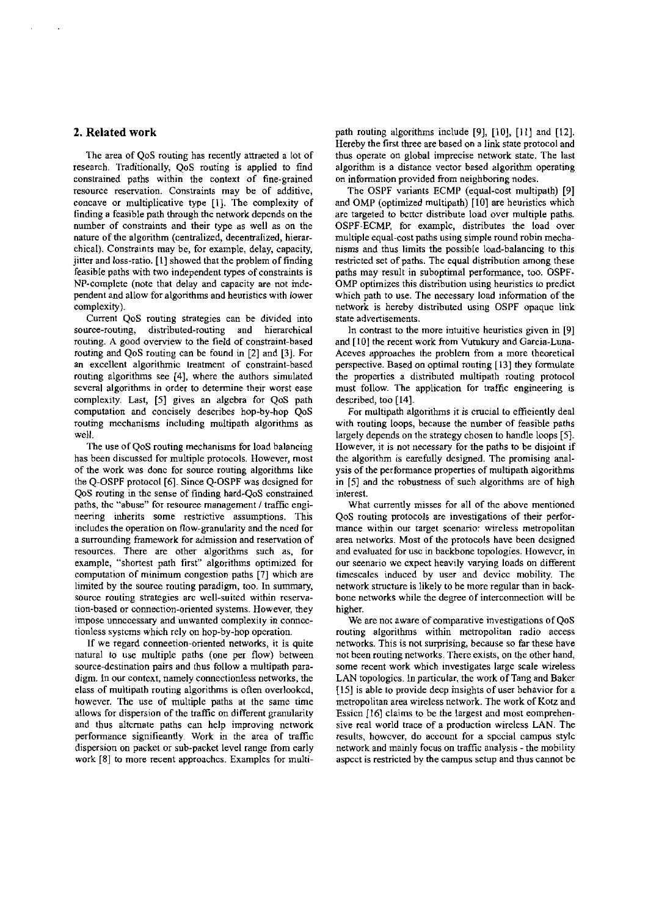# **2. Related work**

The area of QoS routing has recently attraeted a lot of research. Traditionally, QoS routing is applied to find constrained paths within the context of fine-grained resource reservation. Constraints mav be of additive. concave or multiplicative type [I]. The complexity of finding a feasible path through thc network depcnds on the number of constraints and their type as well as on the nature of the algorithm (centralized, decentralized, hierarchical). Constraints may be, for example, delay, capacity, jitter and loss-ratio. [I] showed that the problem of finding feasible paths with two independent types of constraints is NP-complete (note that delay and capacity are not independent and allow for algorithms and heuristics with lower complexity).

Current QoS routing strategies can be divided into source-routing, distributed-routing and hierarchical routing. A good overview to the field of constraint-based routing and QoS routing can be found in [Z] and [3]. For an excellent algorithmic ireatment of constraint-based routing algorithms see (41, where the authors simulated several algorithms in order to determine tbeir worst ease complexity. Last, [5] gives an algebra for QoS path computation and concisely describes hop-by-hop QoS routmg mechanisms including multipath algorithms as well.

The use of QoS routing mechanisms for load balancing has been discussed for multiple protocols. However, most of the work was donc for source routing algorithms like the Q-OSPF protocol [6]. Since Q-OSPF was dcsigned for QoS routing in thc sense of finding hard-QoS constrained paths, the "abuse" for resouree management / traffic engineenng inherits some restrictive assumptions. This includes the operation on flow-granularity and the nced for a surrounding framework for admission and reservation of resources. There are other algorithms such ae, for example, "shortest path first" algorithms optimized for computation of minimum congestion paths [7] which are limited by the source routing paradigm, too. In summary, source routing strategies arc well-suited within rcservation-based or connection-oriented svstems. However. they impose unnccessary and unwanted complexity in conncctionless systems which rely on hop-by-hop operation.

If we regard conneetion-oriented networks, it is quite natural to use multiple paths (one per flow) between source-destination pairs and thus follow a multipath paradigm. In our context, namely connectionless networks, the elass of multipath routing algorithms is ofen overlookcd, however. The use of multiple paths at the same time allows for dispersion of the traffic on different granularity and thus altcmate paths can help improving network perfonnance signifieantly Work in the area of traffic dispersion on packet or sub-packet level range from early work [8] to more recent approaches. Examples for multipath routing algorithms include [9], [10], [11] and [12]. Hereby the first three are based on a link state protocol and thus operate on global imprecise network state. The last algorithm is a distance vector based algorithm operating on information provided from neighboring nodes.

The OSPF variants ECMP (equal-cost multipath) [9] and OMP (optimized multipath) [I01 are heuristics which are targeted to better distribute load over multiple paths. OSPF-ECMP. for examplc, distributes the load over multiple equal-cost paths using simple round robin mechanisms and thus limits the possible load-balancing to this restricted set of paths. The equal distribution among these paths may result in suboptimal performance, too. OSPF-OMP optimizes this distribution using heuristics to predict which path to use. The necessary load information of the network is hereby distributed using OSPF opaque link state advertisements.

In contrast to the more intuitive heuristics given in [9] and [10] the recent work from Vutukury and Garcia-Luna-Aceves approaches the problem from a more theoretical perspective. Based on optimal routing [I31 they formulate the properties a distributed multipath routing protocol must follow. The application for traffic engineering is described, too [14].

For multipath algorithms it is crucial to efficiently deal with routing loops, because the number of feasible paths largely depends on the strategy chosen to handle loops [5]. However, it is not necessary for the paths to be disjoint if the algonthm is earefully designed. The promising analysis of the performance properties of multipath algorithms in [5] and the robustness of sueh algorithms are of high interest.

What currently misses for all of the above mentioned QoS routing protocols are investigations of their performance within out target scenario: wireless metropolitan area networks. Most of the protocols have been dcsigned and evaluated for usc in backbone topologies. Howevcr, in our seenario we cxpect heavily varying loads on different timescales induced bv User and devicc mobility. The network stmcture is likely to be more regular than in backbone networks while the degree of interconnection will be higher.

We are not aware of comparative investigations of QoS routing algorithms within metropolitan radio aecess networks. This is not surprising, because so **far** these have not been routing networks. There exists, on the other hand, some recent work which investigates large scale wireless LAN topologics. In panicular, the work of Tang and Baker [15] is able to provide decp msights of user behavior for a metropolitan area wireless network. The work of Kotz and Essicn [16] claims to be the largest and most eomprehensive real world trace of a production wireless LAN. The results, howcver, do account for a spccial campus stylc network and mainly focus on traffic analysis - the mobility aspcct is restricted by the campus setup and thus cannot be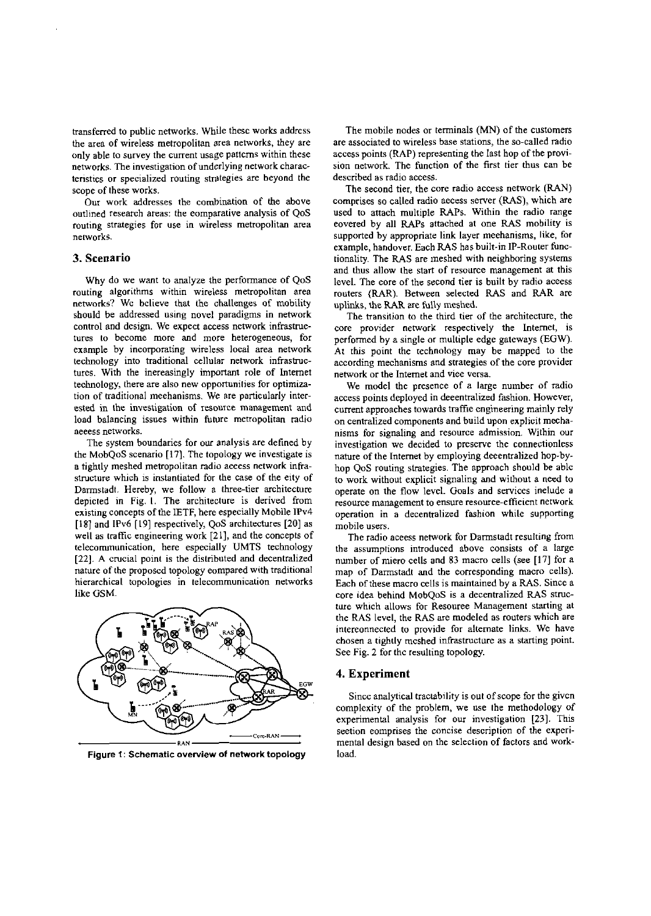transferred to public networks. While thesc works addrcss the area of wireless metropolitan area networks, they are only able to survey the current usage pattcms within these networks. The investigation of underlying network characteristics or specialized routing strategies are beyond the scope of these works.

Our work addresses the combination of the above outlined research areas: the eomparative analysis of QoS routing strategies for use in wireless metropolitan area networks.

### **3. Scenario**

Why do we want to analyze the performance of QoS routing algorithms within wireless metropolitan area networks? Wc hclieve that the challenges of mobility should be addressed using novel paradigms in network control and design. We expect access network infrastruetures to become more and more heterogeneous, for example by incorporating wireless local area network technology into traditional cellular network infrastructures. With the inereasingly important role of Intemet technology, there are also new opportunities for optimization of traditional meehanisms. We are particularly interested in the investigation of resource management and load balancing issues within future metropolitan radio aeeess networks.

The system boundaries for our analysis are defined by the MobQoS scenario [17]. The topology we investigate is a tightly meshed metropolitan radio aeeess network infrastructure which is instantiated for the case of the eity of Darmstadt. Hereby, we follow a three-tier architecture depicted in Fig. I. The architecture is derived from existing concepts of the IETF, bere especially Mobile 1Pv4 [18] and IPv6 [19] respectively, QoS architectures [20] as well as traffic engineering work [21], and the concepts of telecommunication, here especially UMTS technology [22]. A crucial point is the distributed and decentralized nature of the proposcd topology eompared with traditional hierarchical topologies in telecommunication networks Iike GSM.



**Figure 1: Schematic overview of network topology** 

The mobile nodes or terminals (MN) of the customers are associated to wireless base stations, the so-called radio access points (RAP) representing the last hop of the provision network. The function of the first tier thus can be described as radio access.

The second tier, the core radio access network (RAN) comprises so called radio aecess server (RAS), which are used to attach multiple RAPS. Within the radio range eovered by all RAPS attached at one RAS mobility is supported by appropriate link layer meehanisms, like, for example, handover. Eacb RAS has built-in 1P-Router functionality. The RAS are meshed with neighboring systems and thus allow the start of resource management at this level. The core of the second tier is huilt by radio aceess routers (RAR). Between selected RAS and RAR are uplinks, the RAR **are** fully meshed.

The transition to the third tier of the architecture, the core provider network respectively the Intemet, is performed hy a single or multiple edge gateways (EGW). At this point the technology rnay be mapped to the according mechanisms and strategies of the core provider network or the Intemet and viee versa.

We model the presence of a large number of radio access points deployed in deeentralized fashion. However, current approacbes towards traffie engineering mainly rely on centralized components and build upon explicit mechanisms for signaling and resource admission. Within our investigation we decided to preserve the connectionless nature of the lntemet by employing deeentralized hop-byhop QoS routing strategies. The approach should be ablc to work without explicit signaling and without a need to operate on the flow level. Goals and services inelude a resource management to ensure resouree-effieient network operation in a decentralized fashion while supporting mobile users.

The radio aceess network for Darmstadt resulting from the assumptions introduced above consists of a large number of miero cells and 83 macro cells (see [17] for a map of Darmstadt and the eorresponding macro cells). Each of these macro cells is maintained by a RAS. Since a core idea behind MobQoS is a decentralized RAS stmcture which allows for Resouree Management starting at the RAS level, the RAS are modeled as routers which are intereonnected to provide for altemate links. We have chosen a tightly mcshed infrastmcture as a starting point. See Fig. 2 for thc resulting topology.

#### **4. Experiment**

Sincc analytical tractability is out of scope for the givcn complexity of the problem, we use the methodology of experimental analysis for our investigation [23]. This seetion eomprises the concise description of the experimental design based on the selection of factors and workload.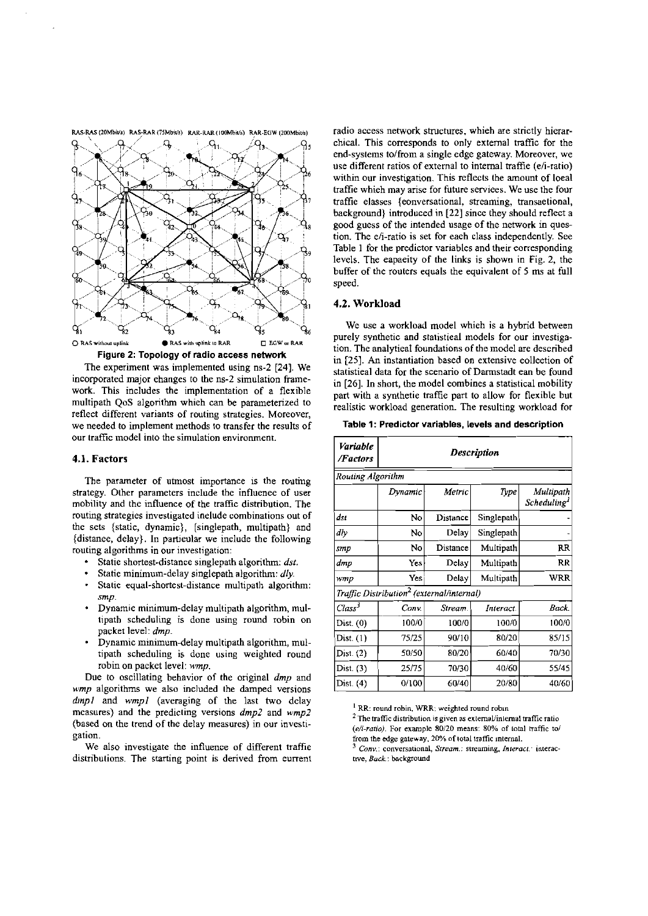

Figure 2: Topology of radio access network

The experiment was implemented using ns-2 [24]. We incorporated major ehanges to the ns-2 simulation framework. This includes the implementation of a flexible multipath QoS algorithm which can be parameterized to reflect different variants of routing strategies. Moreover, we needed to implement methods to transfer the results of our traffic model into the simulation environment.

#### 4.1. Factors

The parameter of utmost importance is the routing strategy. Other parameters include the influenee of user mobility and the influence of the traffic distribution. The routing strategies investigated inelude combinations out of the sets {static, dynamic}, [singlepath, multipath} and (distanee, delay}. In partieular we include the following routing algorithms in our investigation:

- Statie shortest-distance singlepath algorithm: *dsr.*
- Statie minimum-delay singlepath algorithm: *dly*.
- Statie equal-shortest-distance multipath algorithm: *smp.*
- Dynamie minimum-delay multipath algorithm, multipath scheduling is done using round robin on packet level: *dmp*.
- Dynamic minimum-delay multipath algorithm, multipath scheduling is done using weighted round robin on packet level: *wmp.*

Due to oscillating behavior of the original *dmp* and *wmp* algorithms we also included the damped versions *dinpl* and *wmpl* (averaging of the last two delay measures) and the predicting versions *dmp2* and *wmp2*  (based on the trend of the delay measures) in our investigation.

We also investigate the influence of different trafie distributions. The starting point is derived from eurrent radio access network structures, whieh are strictly hierarchical. This corresponds to only external traffic for the end-systems tolfrom a single edge gateway. Moreover, we use different ratios of external to internal traffie (e/i-ratio) within our investigation. This reflects the amount of loeal traffie whieh may arise for future serviees. We use the four traffie elasses {eonversational, streaming, transaelional, baekground} introduced in [22] since they should reflect a good guess of the intended usage of the network in question. The e/i-ratio is set for eaeh class independently. See Table 1 for the predictor variables and their eorresponding levels. The eapaeity of the links is shown in Fig. 2, the buffer of the routers equals the equivalent of **5** ms at full speed.

## 4.2. Workload

We use a workload model whieh is a hybrid between purely synthetic and statistieal models for our investigation. The analytieal foundations of the model are described in [25]. An instantiation based on extensive eolleetion of statistieal data for the scenario of Darmstadt ean be found in [26]. In short, the model eombines a statistical mobility patt with a synthetie traffie part to allow for flexible but realistic workload generation. The resulting workload for

Table 1: Predictor variables, levels and description

| Variable<br>/Factors | <b>Description</b>                                    |          |            |                                      |  |  |  |  |  |  |  |
|----------------------|-------------------------------------------------------|----------|------------|--------------------------------------|--|--|--|--|--|--|--|
| Routing Algorithm    |                                                       |          |            |                                      |  |  |  |  |  |  |  |
|                      | Dynamic                                               | Metric   | Type       | Multipath<br>Scheduling <sup>1</sup> |  |  |  |  |  |  |  |
| dst                  | No                                                    | Distance | Singlepath |                                      |  |  |  |  |  |  |  |
| dly                  | No                                                    | Delay    | Singlepath |                                      |  |  |  |  |  |  |  |
| smp                  | No                                                    | Distance | Multipath  | <b>RR</b>                            |  |  |  |  |  |  |  |
| dmp                  | Yes                                                   | Delay    | Multipath  | RR                                   |  |  |  |  |  |  |  |
| wmp                  | Yes                                                   | Delay    | Multipath  | WRR                                  |  |  |  |  |  |  |  |
|                      | Traffic Distribution <sup>2</sup> (external/internal) |          |            |                                      |  |  |  |  |  |  |  |
| Class <sup>3</sup>   | Conv.                                                 | Stream.  | Interact.  | Back.                                |  |  |  |  |  |  |  |
| Dist. (0)            | 100/0                                                 | 100/0    | 100/0      | 100/0                                |  |  |  |  |  |  |  |
| Dist. (1)            | 75/25                                                 | 90/10    | 80/20      | 85/15                                |  |  |  |  |  |  |  |
| Dist. (2)            | 50/50                                                 | 80/20    | 60/40      | 70/30                                |  |  |  |  |  |  |  |
| Dist. (3)            | 25/75                                                 | 70/30    | 40/60      | 55/45                                |  |  |  |  |  |  |  |
| Dist. $(4)$          | 0/100                                                 | 60/40    | 20/80      | 40/60                                |  |  |  |  |  |  |  |

' RK round robin. **WRR:** weighted **round robin** 

**The nafic** diswibution ir given **ur** ertemaliinlemal **nafic** ratio *(Pii-rario).* **For** example 80120 means: 80% of total **traffic** to1 from the edge gateway, 20% of total traffic internal.

<sup>3</sup> Conv.: conversational, Stream: streaming, Interact. interaclive, *Bock.:* bsckground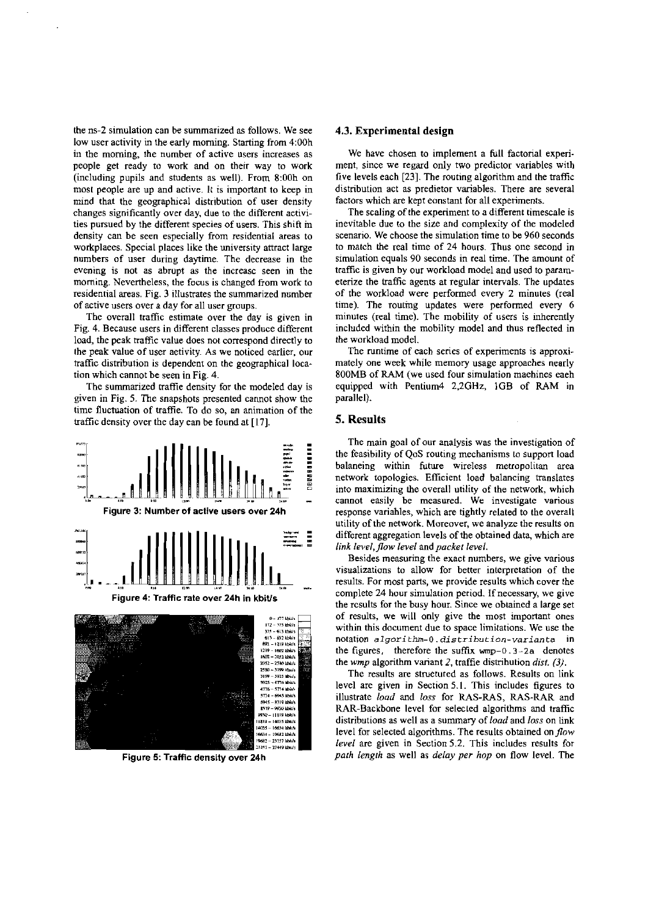the ns-2 simulation can be summarized as follows. We see low user activity in the early morning. Starting from 4:00h in the morning, the number of active users increases as people get ready to work and on their way to work (including pupils and students as well). From 8:OOh on most people are up and active. It is important to keep in mind that the geographical distribution of user density changes signiticantly over day. due to the different activities pursued by the different species of users. This shiR in density can be seen especially from residential areas to workplaees. Special places like the university attract large numbers of User during daytime. The decrease in the evening is not as abrupt **as** the increasc seen in the morning. Nevertheless, the focus is changed from work to residential areas. Fig. 3 illustrates the summarized number of active users over a day for all User groups.

The overall traffic estimate over the day is given in Fig. 4. Because users in different classes produce different load, the peak traffic value does not correspond directly to the peak value of User aetivity. As we noticed earlier, our traffic distribution is dependent on the geographical location which cannot be seen in Fig. 4.

The summarized traffie density for the modeled day is given in Fig. 5. The snapshots presented cannot show the time fluctuation of traffie. To do so, an animation of the traffic density over the day ean be found at [17].



Figure 5: Traffic density over 24h

#### **4.3. Experimental design**

We have chosen to implement a full factorial experiment, since we regard only two predictor variables with five levels each [23]. The routing algorithm and the traffic distribution act as predietor variables. There are several factors which **are** kept eonstant for all experiments.

The scaling of the experiment to a different timescale is inevitable due to the size and complexity of the modeled scenario. We choose the simulation time to be 960 seconds to match the real time of 24 hours. Thus one second in simulation equals 90 seconds in real time. The amount of traffic is given by our workload model and used to parameterize the traffic agents at regular intervals. The updates of the workload were perfonned evety 2 minutes (real time). The routing updates were performed every 6 minutes (real time). The mobility of users is inherently included within the mobility model and thus reflected in the workload model.

The runtime of each series of experiments is approximately one week while memory usage approaches nearly 800MB of **RAM** (we used four simulation maehines eaeh equipped with Pentium4 2,2GHz, 1GB of RAM in parallel).

## **5. Results**

The main goal of our analysis was the investigation of the feasibility of QoS routing mechanisms 10 support load balaneing within future wireless metropolitan area network topologies. Efficient load balancing translates into maximizing the overall utility of the network, which cannot easily be measured. We investigate various response variables, which are tightly related to the overall utility of the network. Moreover, we analyze the results on different aggregation levels of the obtained data, which are link level, flow level and *packet level*.

Besides measuring the exact numbers, we give various visualizations to allow for bettet interpretation of the results. For most parts, we provide results which cover the complete 24 hour simulation period. If necessaty, we give the rcsults for the busy hour. Since we obtained a large set of results, we will only give the most important ones within this document due to space limitations. We use the notation **algori thm-0. distribution-varianta** in the figures. therefore the suffix **wmp-0.3-2a** denotes the *wmp* algorithm variant 2, traffie distribution *dist.* (3).

The results are struetured as follows. Results on link level are given in Section 5.1. This includes figures to illustrate **load** and **lass** for RAS-RAS, RAS-RAR and RAR-Backbone level for selected algorithms and traffic distributions as well as a summaty of **load** and **lass** on link level for selected algorithms. The results obtained on **jlow level** are given in Section 5.2. This includes results for **parh lengrh** as well as **delay per hop** on flow level. The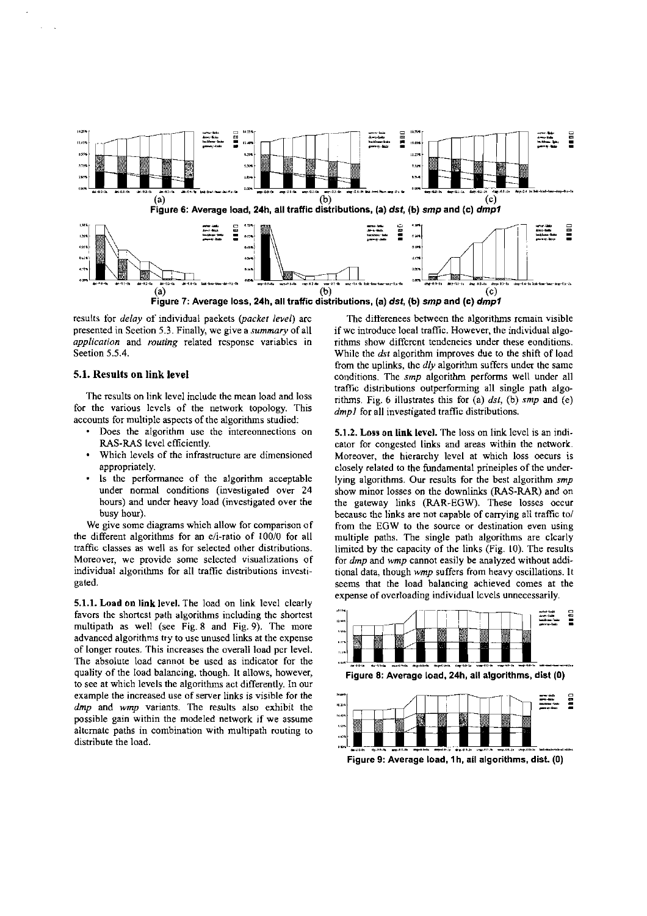

Figure 7: Average loss, 24h, all traffic distributions, (a) dst, (b) smp and (c) dmp1

results for delay of individual paekets (packet level) arc presented in Seetion 5.3. Finally, we give a summary of all application and routing related response variables in Seetion 5.5.4.

## 5.1. Results on link level

The results on link level include the mean load and loss for the various levels of the network topology. This accounts for multiple aspects of the algorithms studied:

- · Does the algorithm use the intereonnections on RAS-RAS level efficiently.
- Which levels of the infrastructure are dimensioned appropriately.
- Is the performance of the algorithm acceptable under normal conditions (investigated over 24 hours) and under heavy load (investigated over the busy hour).

We give some diagrams which allow for comparison of the different algorithms for an e/i-ratio of 100/0 for all traffic classes as well as for selected other distributions. Moreover, we provide some selected visualizations of individual algorithms for all traffic distributions investigated.

5.1.1. Load on link level. The load on link level clearly favors the shortest path algorithms including the shortest multipath as well (see Fig. 8 and Fig. 9). The more advanced algorithms try to use unused links at the expense of longer routes. This increases the overall load pcr level. The absolute load cannot be used as indicator for the quality of the load balancing, though. It allows, however, to see at which levels the algorithms act differently. In our example the increased use of server links is visible for the dmp and wmp variants. The results also exhibit the possible gain within the modeled network if we assume alternate paths in combination with multipath routing to distribute the load.

The differenees between the algorithms remain visible if we introduce loeal traffic. However, the individual algorithms show different tendencies under these conditions. While the dst algorithm improves due to the shift of load from the uplinks, the dly algorithm suffers under the same conditions. The smp algorithm performs well under all traffic distributions outperforming all single path algorithms. Fig. 6 illustrates this for (a)  $dst$ , (b) smp and (e) dmp1 for all investigated traffic distributions.

5.1.2. Loss on link level. The loss on link level is an indicator for congested links and areas within the network. Moreover, the hierarchy level at which loss oecurs is closely related to the fundamental prineiples of the underlying algorithms. Our results for the best algorithm smp show minor losses on the downlinks (RAS-RAR) and on the gateway links (RAR-EGW). These losses occur because the links are not capable of carrying all traffic to/ from the EGW to the source or destination even using multiple paths. The single path algorithms are clearly limited by the capacity of the links (Fig. 10). The results for dmp and wmp cannot easily be analyzed without additional data, though wmp suffers from heavy oscillations. It seems that the load balancing achieved comes at the expense of overloading individual levels unnecessarily.

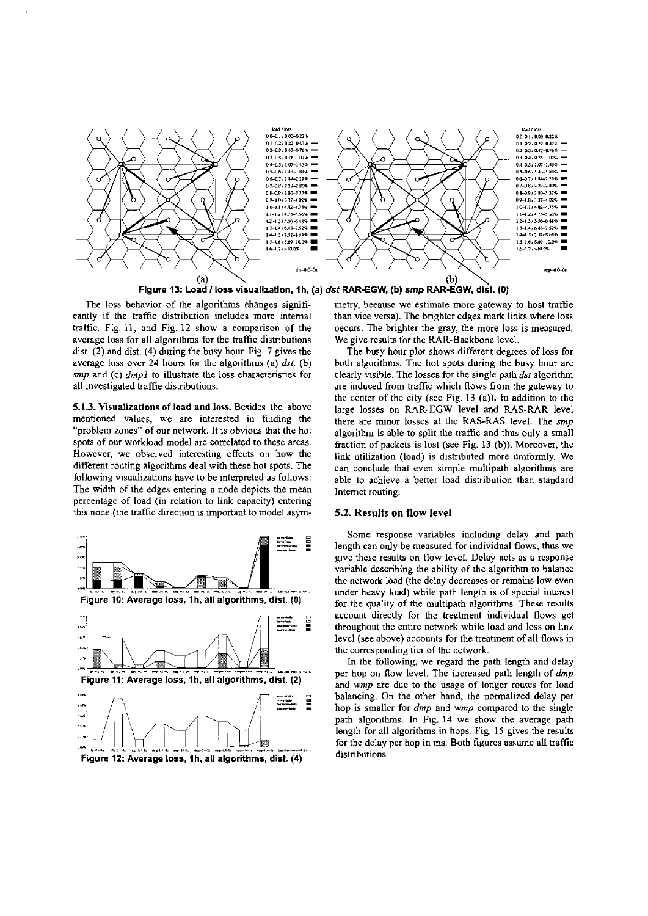

Figure 13: Load / loss visualization, 1h, (a) dst RAR-EGW, (b) smp RAR-EGW, dist. (0)

The loss behavior of the algorithms changes signifieantly if the traffie distribution ineludes more internal traffic. Fig. 11, and Fig. 12 show a comparison of the average loss for all algorithms for the traffic distributions dist.  $(2)$  and dist.  $(4)$  during the busy hour. Fig. 7 gives the average loss over 24 hours for the algorithms (a)  $dst$ , (b)  $smp$  and (c)  $dmp1$  to illustrate the loss eharacteristies for all investigated traffie distributions.

5.1.3. Visualizations of load and loss. Besides the above mentioned values, we are interested in finding the "problem zones" of our network. It is obvious that the hot spots of our workload model are eorrelated to these areas. However, we observed interesting effects on how the different routing algorithms deal with these hot spots. The following visualizations have to be interpreted as follows: The width of the edges entering a node depicts the mean percentage of load (in relation to link capacity) entering this node (the traffic direction is important to model asym-



Figure 12: Average loss, 1h, all algorithms, dist. (4)

metry, because we estimate more gateway to host traffic than vice versa). The brighter edges mark links where loss oecurs. The brighter the gray, the more loss is measured. We give results for the RAR-Backbone level.

The busy hour plot shows different degrees of loss for both algorithms. The hot spots during the busy hour are clearly visible. The losses for the single path dst algorithm are induced from traffic which flows from the gateway to the center of the city (see Fig. 13 (a)). In addition to the large losses on RAR-EGW level and RAS-RAR level there are minor losses at the RAS-RAS level. The smp algorithm is able to split the traffic and thus only a small fraction of packets is lost (see Fig. 13 (b)). Moreover, the link utilization (load) is distributed more uniformly. We ean conclude that even simple multipath algorithms are able to achieve a better load distribution than standard Internet routing.

#### 5.2. Results on flow level

Some response variables including delay and path length can only be measured for individual flows, thus we give these results on flow level. Delay acts as a response variable describing the ability of the algorithm to balance the network load (the delay decreases or remains low even under heavy load) while path length is of special interest for the quality of the multipath algorithms. These results account directly for the treatment individual flows get throughout the entire network while load and loss on link level (see above) accounts for the treatment of all flows in the corresponding tier of the network.

In the following, we regard the path length and delay per hop on flow level. The increased path length of dmp and wmp are due to the usage of longer routes for load balancing. On the other hand, the normalized delay per hop is smaller for *dmp* and wmp compared to the single path algorithms. In Fig. 14 we show the average path length for all algorithms in hops. Fig. 15 gives the results for the delay per hop in ms. Both figures assume all traffic distributions.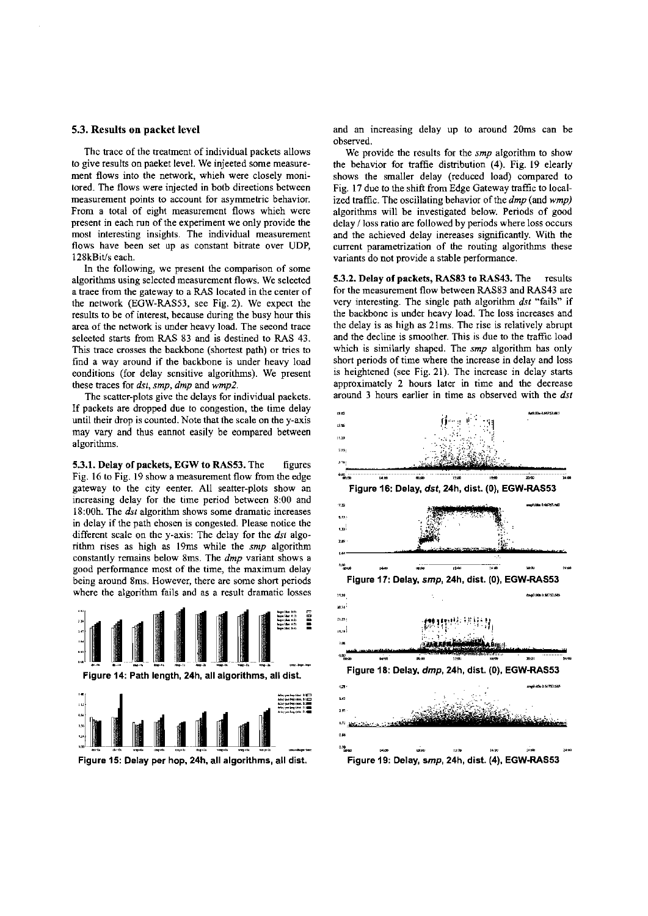#### 5.3. Results on packet level

The trace of the treatment of individual packets allows to give results on paeket level. We injeeted some measurement flows into the network, whieh were closely monitored. The flows were injected in botb direetions between measurement points to account for asymmetric behavior. From a total of eight measurement flows whieh were present in each mn of the expenment we only provide the most interesting insights. The individual measurement flows have been set up as constant bitrate over UDP, 128kBit/s each.

In the following, we present the comparison of some algorithms using selected measurement flows. We seleeted a traee from the gateway to a RAS located in the Center of the network (EGW-RAS53, see Fig. 2). We expect the results to be of interest, because during the busy hour this area of the network is under heavy load. The seeond trace seleeted starts from RAS 83 and is destined to RAS 43. This trace crosses the backbone (shortest path) or tries to find a way around if the backbone is under heavy load eonditions (for delay sensitive algorithms). We present these traces for **dsr, smp, dmp** and **wmp2.** 

The scatter-plots give the delays for individual paekets. If packets are dropped due to congestion, the time delay until their drop is counted. Note that the scale on the y-axis may vary and thus eannot easily be eompared between algorithms.

5.3.1. Delay of packets, EGW to RAS53. The figures Fig. 16 to Fig. 19 show a measurement flow from the edge gateway to the city eenter. All seatter-plots show an increasing delay for the time period between 8:00 and 18:OOh. The **dsr** algorithm shows some dramatic increases in delay if the path ehosen is congested. Please notice the different scale on the y-axis: The delay for the **dst** algorithm rises as high as 19ms while the **smp** algorithm constantly remains below 8ms. The **dmp** variant shows a good perfonnance most of the time, the maximum delay being around 8ms. However, there are some short penods where the algorithm fails and as a result dramatic losses



and an increasing delay up to around 20ms can be observed.

We provide the results for the **smp** algorithm to show the behavior for traffie disttibution (4). Fig. 19 elearly shows the smaller delay (reduced load) compared to Fig. 17 due to the shift from Edge Gateway traffic to localized traffic. The oscillating behavior of the **dmp** (and **wmp)**  algonthms will be investigated below. Periods of good delay / loss ratio are followed by periods where loss occurs and the achieved delay inereases significantly. With the current parametrization of the routing algorithms these variants do not provide a stable perfonnance.

5.3.2. Delay of packets, RAS83 to RAS43. The results for the measurement flow between RAS83 and RAS43 are very interesting. The single path algorithm *dst* "fails" if the backbone is under heavy load. The loss increases and the delay is **as** high as 21ms. The rise is relatively abnipt and the decline is smoother. This is due to the traffic load which is similarly shaped. The **smp** algorithm has only short periods of time where the increase in delay and loss is heightened (see Fig. 21). The increase in delay starts approximately 2 hours later in time and the decrease around 3 hours earlier in time as observed with the **dsi** 

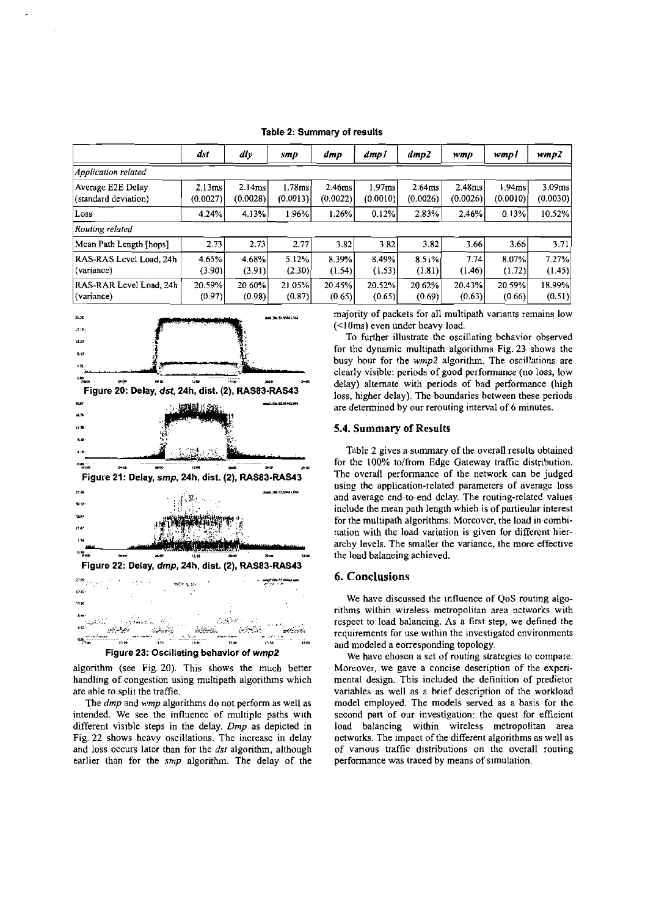|                                             | dst                | dly                | smp                | dmp                | dmp1               | dmp2                             | wmp                | wmpl               | wmp2               |
|---------------------------------------------|--------------------|--------------------|--------------------|--------------------|--------------------|----------------------------------|--------------------|--------------------|--------------------|
| <i>Application related</i>                  |                    |                    |                    |                    |                    |                                  |                    |                    |                    |
| Average E2E Delay<br>(standard deviation)   | 2.13ms<br>(0.0027) | 2.14ms<br>(0.0028) | 1.78ms<br>(0.0013) | 2.46ms<br>(0.0022) | 1.97ms<br>(0.0010) | $2.64$ <sub>ms</sub><br>(0.0026) | 2.48ms<br>(0.0026) | 1.94ms<br>(0.0010) | 3.09ms<br>(0.0030) |
| Loss                                        | 4 2 4 %            | 4.13%              | $1.96\%$           | 1.26%              | 0.12%              | 2.83%                            | 2.46%              | 0.13%              | 10.52%             |
| Routing related                             |                    |                    |                    |                    |                    |                                  |                    |                    |                    |
| Mean Path Length [hops]                     | 2.73               | 2.73               | 2.77               | 3.82               | 3.82               | 3.82                             | 3.66               | 3.66               | 3.71               |
| RAS-RAS Level Load, 24h<br>(variance)       | 4.65%<br>(3.90)    | 4.68%<br>(3.91)    | 5.12%<br>(2.30)    | 8.39%<br>(1.54)    | 8.49%<br>(1.53)    | 8.51%<br>(1.81)                  | 7.74<br>(1.46)     | 8.07%<br>(1.72)    | 7.27%<br>(1.45)    |
| RAS-RAR Level Load, 24h<br>$($ variance $)$ | 20.59%<br>(0.97)   | 20.60%<br>(0.98)   | 21.05%<br>(0.87)   | 20.45%<br>(0.65)   | 20.52%<br>(0.65)   | 20.62%<br>(0.69)                 | 20.43%<br>(0.63)   | 20.59%<br>(0.66)   | 18.99%<br>(0.51)   |

Table 2: Summary of results



algorithm (see Fig. 20). This shows the much better handling of congestion using multipath algorithms which are able to split the trafie.

The *dmp* and *wmp* algorithms do not perform as well as intended. We see the influenec of multiple paths with different visible steps in the delay. *Dmp* as depicted in Fig. 22 shows heavy oscillations. The increasc in delay and loss occurs later than for the *dsr* algorithm, although earlier than for the **smp** algorithm. The delay of the

busy hour for the *wmp2* algorithm. The oscillations are<br> **Eigure 20: Delay, dst, 24h, dist. (2), RAS83-RAS43**<br>
Figure 20: Delay, dst, 24h, dist. (2), RAS83-RAS43<br>
Loss, higher delay). The boundaries between these periods are determined by our rerouting interval of 6 minutes. To further illustrate the oscillating behavior obsewed for the dynamic multipath algorithms Ftg. 23 shows the busy hour for the *wmp2* algorithm. The oscillations are

### **5.4. Summary of Results**

Table 2 gives a summary of the overall results obtained for the 100% to/from Edge Gateway traffic distribution. The overall performance of the network can be judged using the application-related parameters of average loss and average end-to-end delay. The routing-related values inelude the mean path length whieh is of partieular interest for the multipath algorithms. Moreover, the load in eombination with the load vartation is given for different hierarchy levels. The smaller the variance, the more effective the load balaneing achieved.

#### **6. Conclusions**

We have discussed the influence of QoS routing algorithms within wireless metropolitan area nctworks with respect to load balancing. As a first step, we defined the rcquirements for use within the investigatcd environments and modeled a eorresponding topology.

We have ehosen a set of routing strategies to compare. Moreover, we gave a concise deseription of the experimental design. This included the definition of predietor variables as well as a brief description of the workload model employed. The models served as a basis for the second part of our investigation: the quest for efficient load balancing within wireless metropolitan area networks. The impact of the different algorithms as well as of various traffic distnbutions on the overall routing performance was traeed by means of simulation.